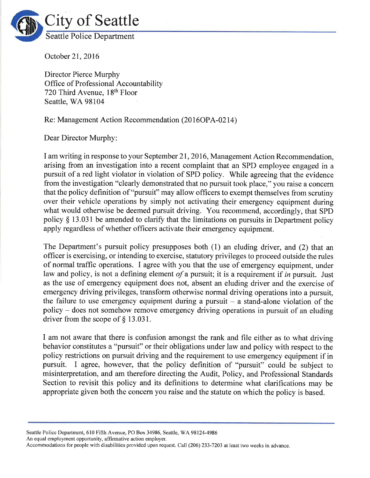

October 21,2016

Director Pierce Murphy Office of Professional Accountability 720 Third Avenue, 18<sup>th</sup> Floor Seattle, WA 98104

Re: Management Action Recommendation (2016OPA-0214)

Dear Director Murphy:

I am writing in response to your September 21,2016, Management Action Recommendation, arising from an investigation into a recent complaint that an SPD employee engaged in <sup>a</sup> pursuit of a red light violator in violation of SPD policy. While agreeing that the evidence from the investigation "clearly demonstrated that no pursuit took place," you raise a concern that the policy definition of "pursuit" may allow officers to exempt themselves from scrutiny over their vehicle operations by simply not activating their emergency equipment during what would otherwise be deemed pursuit driving. You recommend, accordingly, that SPD policy  $\S$  13.031 be amended to clarify that the limitations on pursuits in Department policy apply regardless of whether officers activate their emergency equipment.

The Department's pursuit policy presupposes both (1) an eluding driver, and (2) that an officer is exercising, or intending to exercise, statutory privileges to proceed outside the rules of normal traffic operations. I agree with you that the use of emergency equipment, under law and policy, is not a defining element of a pursuit; it is a requirement if in pursuit. Just as the use of emergency equipment does not, absent an eluding driver and the exercise of emergency driving privileges, transform otherwise normal driving operations into a pursuit, the failure to use emergency equipment during a pursuit  $-$  a stand-alone violation of the policy - does not somehow remove emergency driving operations in pursuit of an eluding driver from the scope of  $\S$  13.031.

I am not aware that there is confusion amongst the rank and file either as to what driving behavior constitutes a "pursuit" or their obligations under law and policy with respect to the policy restrictions on pursuit driving and the requirement to use emergency equipment if in pursuit. I agree, however, that the policy definition of 'þursuit" could be subject to misinterpretation, and am therefore directing the Audit, Policy, and Professional Standards Section to revisit this policy and its definitions to determine what clarifications may be appropriate given both the concern you raise and the statute on which the policy is based.

Seattle Police Department, 610 Fifth Avenue, PO Box 34986, Seattle, WA 98124-4986

An equal employment opportunity, affirmative action employer.

Accommodations for people with disabilities provided upon request. Call (206) 233-7203 at least two weeks in advance.